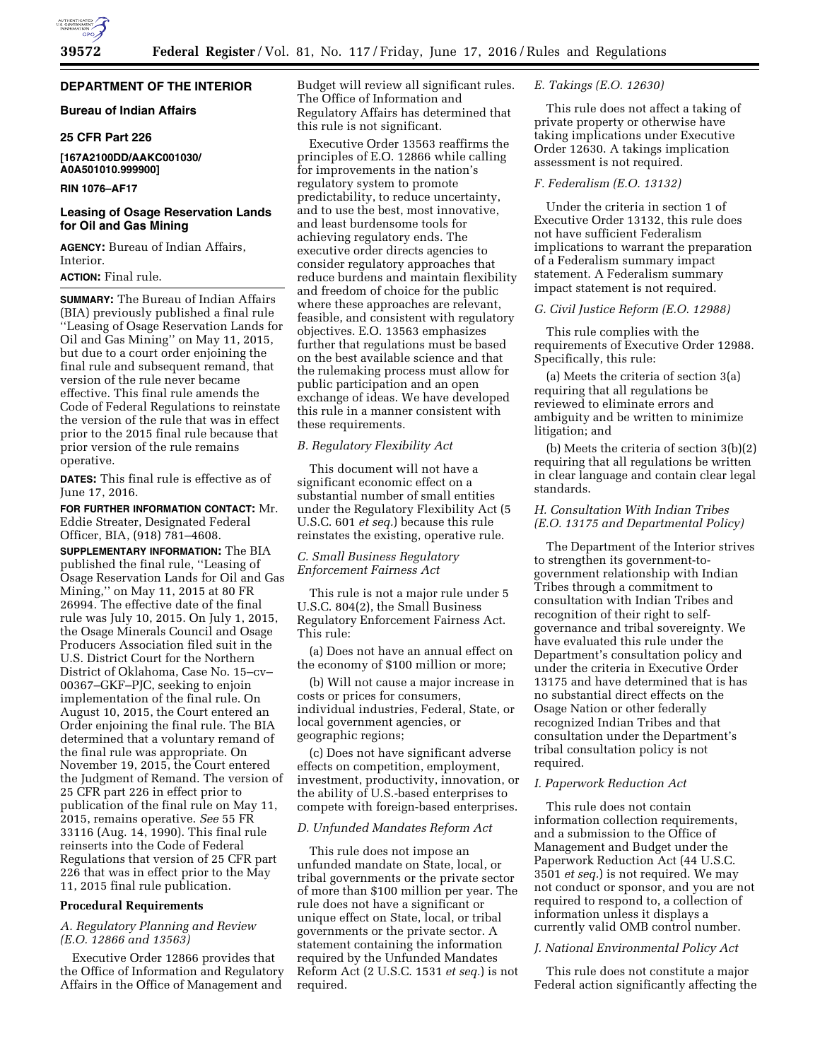# **DEPARTMENT OF THE INTERIOR**

# **Bureau of Indian Affairs**

#### **25 CFR Part 226**

# **[167A2100DD/AAKC001030/ A0A501010.999900]**

## **RIN 1076–AF17**

# **Leasing of Osage Reservation Lands for Oil and Gas Mining**

**AGENCY:** Bureau of Indian Affairs, Interior.

# **ACTION:** Final rule.

**SUMMARY:** The Bureau of Indian Affairs (BIA) previously published a final rule ''Leasing of Osage Reservation Lands for Oil and Gas Mining'' on May 11, 2015, but due to a court order enjoining the final rule and subsequent remand, that version of the rule never became effective. This final rule amends the Code of Federal Regulations to reinstate the version of the rule that was in effect prior to the 2015 final rule because that prior version of the rule remains operative.

**DATES:** This final rule is effective as of June 17, 2016.

**FOR FURTHER INFORMATION CONTACT:** Mr. Eddie Streater, Designated Federal Officer, BIA, (918) 781–4608.

**SUPPLEMENTARY INFORMATION:** The BIA published the final rule, ''Leasing of Osage Reservation Lands for Oil and Gas Mining,'' on May 11, 2015 at 80 FR 26994. The effective date of the final rule was July 10, 2015. On July 1, 2015, the Osage Minerals Council and Osage Producers Association filed suit in the U.S. District Court for the Northern District of Oklahoma, Case No. 15–cv– 00367–GKF–PJC, seeking to enjoin implementation of the final rule. On August 10, 2015, the Court entered an Order enjoining the final rule. The BIA determined that a voluntary remand of the final rule was appropriate. On November 19, 2015, the Court entered the Judgment of Remand. The version of 25 CFR part 226 in effect prior to publication of the final rule on May 11, 2015, remains operative. *See* 55 FR 33116 (Aug. 14, 1990). This final rule reinserts into the Code of Federal Regulations that version of 25 CFR part 226 that was in effect prior to the May 11, 2015 final rule publication.

#### **Procedural Requirements**

# *A. Regulatory Planning and Review (E.O. 12866 and 13563)*

Executive Order 12866 provides that the Office of Information and Regulatory Affairs in the Office of Management and

Budget will review all significant rules. The Office of Information and Regulatory Affairs has determined that this rule is not significant.

Executive Order 13563 reaffirms the principles of E.O. 12866 while calling for improvements in the nation's regulatory system to promote predictability, to reduce uncertainty, and to use the best, most innovative, and least burdensome tools for achieving regulatory ends. The executive order directs agencies to consider regulatory approaches that reduce burdens and maintain flexibility and freedom of choice for the public where these approaches are relevant, feasible, and consistent with regulatory objectives. E.O. 13563 emphasizes further that regulations must be based on the best available science and that the rulemaking process must allow for public participation and an open exchange of ideas. We have developed this rule in a manner consistent with these requirements.

## *B. Regulatory Flexibility Act*

This document will not have a significant economic effect on a substantial number of small entities under the Regulatory Flexibility Act (5 U.S.C. 601 *et seq.*) because this rule reinstates the existing, operative rule.

## *C. Small Business Regulatory Enforcement Fairness Act*

This rule is not a major rule under 5 U.S.C. 804(2), the Small Business Regulatory Enforcement Fairness Act. This rule:

(a) Does not have an annual effect on the economy of \$100 million or more;

(b) Will not cause a major increase in costs or prices for consumers, individual industries, Federal, State, or local government agencies, or geographic regions;

(c) Does not have significant adverse effects on competition, employment, investment, productivity, innovation, or the ability of U.S.-based enterprises to compete with foreign-based enterprises.

#### *D. Unfunded Mandates Reform Act*

This rule does not impose an unfunded mandate on State, local, or tribal governments or the private sector of more than \$100 million per year. The rule does not have a significant or unique effect on State, local, or tribal governments or the private sector. A statement containing the information required by the Unfunded Mandates Reform Act (2 U.S.C. 1531 *et seq.*) is not required.

# *E. Takings (E.O. 12630)*

This rule does not affect a taking of private property or otherwise have taking implications under Executive Order 12630. A takings implication assessment is not required.

# *F. Federalism (E.O. 13132)*

Under the criteria in section 1 of Executive Order 13132, this rule does not have sufficient Federalism implications to warrant the preparation of a Federalism summary impact statement. A Federalism summary impact statement is not required.

## *G. Civil Justice Reform (E.O. 12988)*

This rule complies with the requirements of Executive Order 12988. Specifically, this rule:

(a) Meets the criteria of section 3(a) requiring that all regulations be reviewed to eliminate errors and ambiguity and be written to minimize litigation; and

(b) Meets the criteria of section 3(b)(2) requiring that all regulations be written in clear language and contain clear legal standards.

## *H. Consultation With Indian Tribes (E.O. 13175 and Departmental Policy)*

The Department of the Interior strives to strengthen its government-togovernment relationship with Indian Tribes through a commitment to consultation with Indian Tribes and recognition of their right to selfgovernance and tribal sovereignty. We have evaluated this rule under the Department's consultation policy and under the criteria in Executive Order 13175 and have determined that is has no substantial direct effects on the Osage Nation or other federally recognized Indian Tribes and that consultation under the Department's tribal consultation policy is not required.

### *I. Paperwork Reduction Act*

This rule does not contain information collection requirements, and a submission to the Office of Management and Budget under the Paperwork Reduction Act (44 U.S.C. 3501 *et seq.*) is not required. We may not conduct or sponsor, and you are not required to respond to, a collection of information unless it displays a currently valid OMB control number.

#### *J. National Environmental Policy Act*

This rule does not constitute a major Federal action significantly affecting the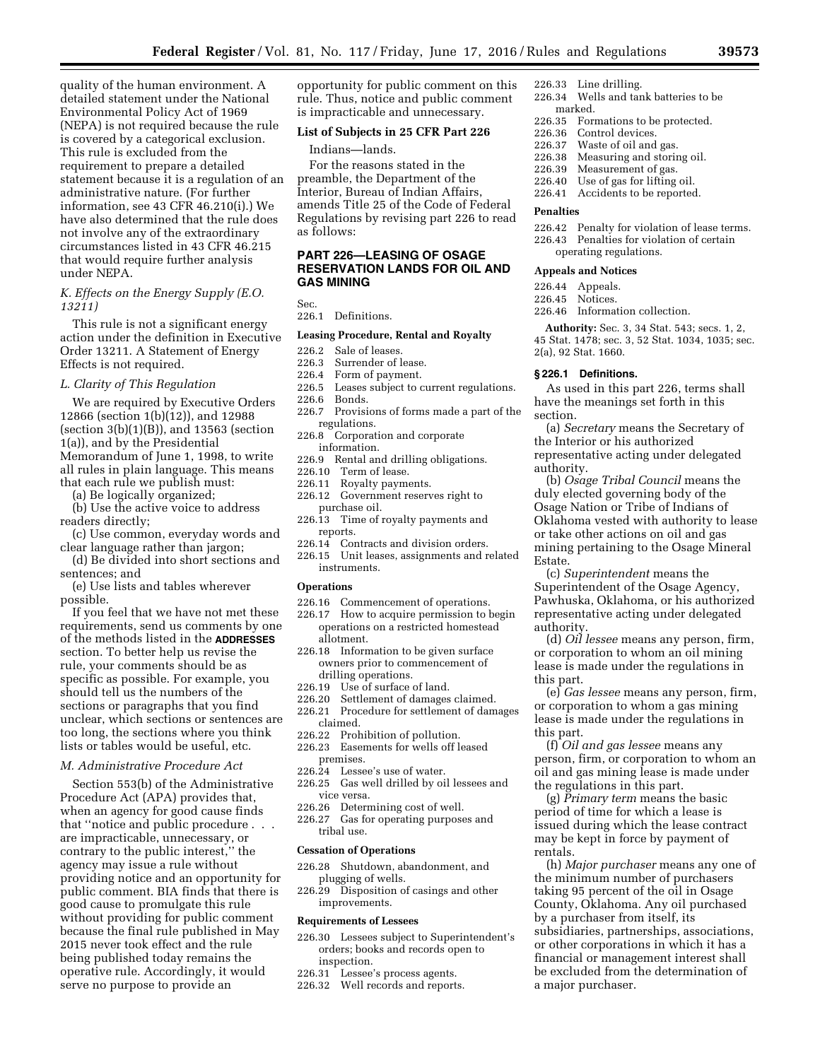quality of the human environment. A detailed statement under the National Environmental Policy Act of 1969 (NEPA) is not required because the rule is covered by a categorical exclusion. This rule is excluded from the requirement to prepare a detailed statement because it is a regulation of an administrative nature. (For further information, see 43 CFR 46.210(i).) We have also determined that the rule does not involve any of the extraordinary circumstances listed in 43 CFR 46.215 that would require further analysis under NEPA.

## *K. Effects on the Energy Supply (E.O. 13211)*

This rule is not a significant energy action under the definition in Executive Order 13211. A Statement of Energy Effects is not required.

#### *L. Clarity of This Regulation*

We are required by Executive Orders 12866 (section 1(b)(12)), and 12988 (section 3(b)(1)(B)), and 13563 (section 1(a)), and by the Presidential Memorandum of June 1, 1998, to write all rules in plain language. This means that each rule we publish must:

(a) Be logically organized;

(b) Use the active voice to address readers directly;

(c) Use common, everyday words and clear language rather than jargon;

(d) Be divided into short sections and sentences; and

(e) Use lists and tables wherever possible.

If you feel that we have not met these requirements, send us comments by one of the methods listed in the **ADDRESSES** section. To better help us revise the rule, your comments should be as specific as possible. For example, you should tell us the numbers of the sections or paragraphs that you find unclear, which sections or sentences are too long, the sections where you think lists or tables would be useful, etc.

#### *M. Administrative Procedure Act*

Section 553(b) of the Administrative Procedure Act (APA) provides that, when an agency for good cause finds that ''notice and public procedure . . . are impracticable, unnecessary, or contrary to the public interest,'' the agency may issue a rule without providing notice and an opportunity for public comment. BIA finds that there is good cause to promulgate this rule without providing for public comment because the final rule published in May 2015 never took effect and the rule being published today remains the operative rule. Accordingly, it would serve no purpose to provide an

opportunity for public comment on this rule. Thus, notice and public comment is impracticable and unnecessary.

#### **List of Subjects in 25 CFR Part 226**

#### Indians—lands.

For the reasons stated in the preamble, the Department of the Interior, Bureau of Indian Affairs, amends Title 25 of the Code of Federal Regulations by revising part 226 to read as follows:

# **PART 226—LEASING OF OSAGE RESERVATION LANDS FOR OIL AND GAS MINING**

Sec.

226.1 Definitions.

#### **Leasing Procedure, Rental and Royalty**

# 226.2 Sale of leases.<br>226.3 Surrender of l

- 226.3 Surrender of lease.<br>226.4 Form of nayment
- 226.4 Form of payment.<br>226.5 Leases subject to c
- 226.5 Leases subject to current regulations.<br>226.6 Bonds.
- 226.6 Bonds.<br>226.7 Provisi
- Provisions of forms made a part of the regulations.
- 226.8 Corporation and corporate information.
- 226.9 Rental and drilling obligations.
- 226.10 Term of lease.<br>226.11 Rovalty payme
- Royalty payments.
- 226.12 Government reserves right to purchase oil.
- 226.13 Time of royalty payments and reports.
- 226.14 Contracts and division orders.
- 226.15 Unit leases, assignments and related instruments.

## **Operations**

- 226.16 Commencement of operations.
- 226.17 How to acquire permission to begin operations on a restricted homestead allotment.
- 226.18 Information to be given surface owners prior to commencement of drilling operations.
- 226.19 Use of surface of land.
- 226.20 Settlement of damages claimed.
- 226.21 Procedure for settlement of damages claimed.
- 226.22 Prohibition of pollution.
- 226.23 Easements for wells off leased
- premises.
- 226.24 Lessee's use of water.<br>226.25 Gas well drilled by oi
- Gas well drilled by oil lessees and vice versa.
- 226.26 Determining cost of well.
- 226.27 Gas for operating purposes and tribal use.

#### **Cessation of Operations**

- 226.28 Shutdown, abandonment, and plugging of wells.
- 226.29 Disposition of casings and other improvements.

#### **Requirements of Lessees**

- 226.30 Lessees subject to Superintendent's orders; books and records open to inspection.
- 226.31 Lessee's process agents.
- 226.32 Well records and reports.
- 226.33 Line drilling.
- 226.34 Wells and tank batteries to be .marked<br>226.35 For
- Formations to be protected.
	- 226.36 Control devices<br>226.37 Waste of oil and
- Waste of oil and gas.
- 226.38 Measuring and storing oil.
- 226.39 Measurement of gas. 226.40 Use of gas for lifting oil.
- 226.41 Accidents to be reported.

#### **Penalties**

- 226.42 Penalty for violation of lease terms. 226.43 Penalties for violation of certain
- operating regulations.

#### **Appeals and Notices**

- 226.44 Appeals.
- 226.45 Notices.
- 226.46 Information collection.

**Authority:** Sec. 3, 34 Stat. 543; secs. 1, 2, 45 Stat. 1478; sec. 3, 52 Stat. 1034, 1035; sec. 2(a), 92 Stat. 1660.

# **§ 226.1 Definitions.**

As used in this part 226, terms shall have the meanings set forth in this section.

(a) *Secretary* means the Secretary of the Interior or his authorized representative acting under delegated authority.

(b) *Osage Tribal Council* means the duly elected governing body of the Osage Nation or Tribe of Indians of Oklahoma vested with authority to lease or take other actions on oil and gas mining pertaining to the Osage Mineral Estate.

(c) *Superintendent* means the Superintendent of the Osage Agency, Pawhuska, Oklahoma, or his authorized representative acting under delegated authority.

(d) *Oil lessee* means any person, firm, or corporation to whom an oil mining lease is made under the regulations in this part.

(e) *Gas lessee* means any person, firm, or corporation to whom a gas mining lease is made under the regulations in this part.

(f) *Oil and gas lessee* means any person, firm, or corporation to whom an oil and gas mining lease is made under the regulations in this part.

(g) *Primary term* means the basic period of time for which a lease is issued during which the lease contract may be kept in force by payment of rentals.

(h) *Major purchaser* means any one of the minimum number of purchasers taking 95 percent of the oil in Osage County, Oklahoma. Any oil purchased by a purchaser from itself, its subsidiaries, partnerships, associations, or other corporations in which it has a financial or management interest shall be excluded from the determination of a major purchaser.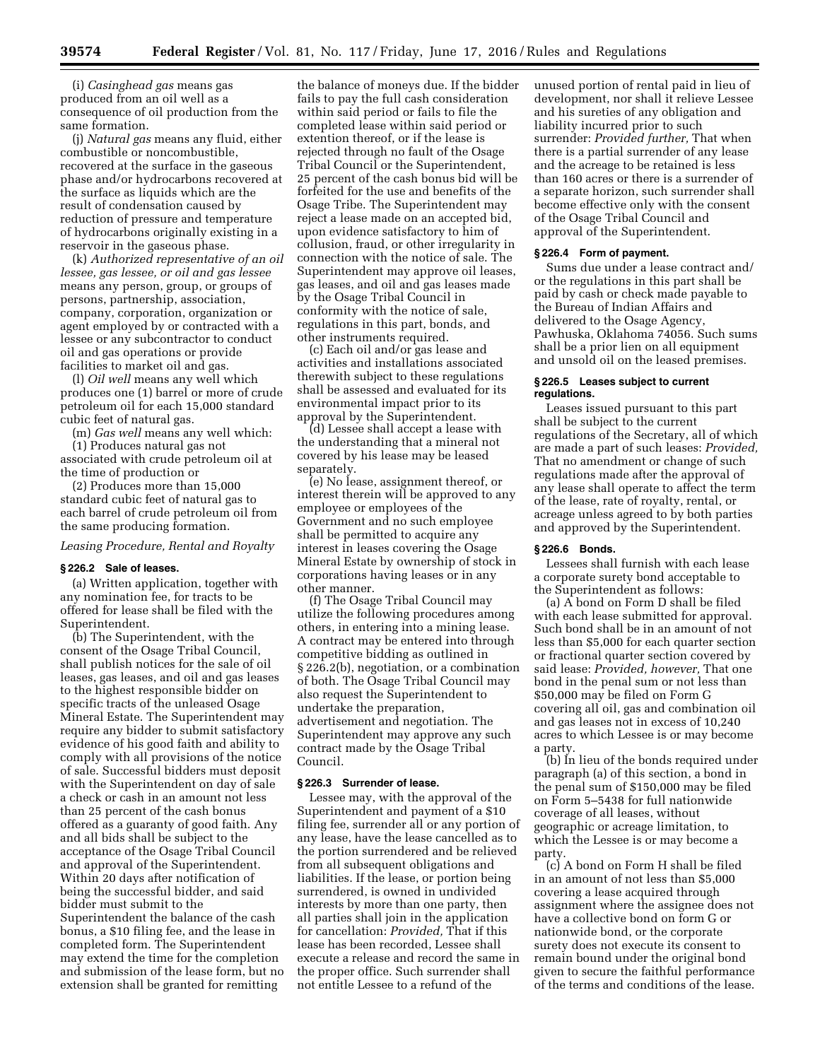(i) *Casinghead gas* means gas produced from an oil well as a consequence of oil production from the same formation.

(j) *Natural gas* means any fluid, either combustible or noncombustible, recovered at the surface in the gaseous phase and/or hydrocarbons recovered at the surface as liquids which are the result of condensation caused by reduction of pressure and temperature of hydrocarbons originally existing in a reservoir in the gaseous phase.

(k) *Authorized representative of an oil lessee, gas lessee, or oil and gas lessee*  means any person, group, or groups of persons, partnership, association, company, corporation, organization or agent employed by or contracted with a lessee or any subcontractor to conduct oil and gas operations or provide facilities to market oil and gas.

(l) *Oil well* means any well which produces one (1) barrel or more of crude petroleum oil for each 15,000 standard cubic feet of natural gas.

(m) *Gas well* means any well which:

(1) Produces natural gas not associated with crude petroleum oil at the time of production or

(2) Produces more than 15,000 standard cubic feet of natural gas to each barrel of crude petroleum oil from the same producing formation.

# *Leasing Procedure, Rental and Royalty*

#### **§ 226.2 Sale of leases.**

(a) Written application, together with any nomination fee, for tracts to be offered for lease shall be filed with the Superintendent.

(b) The Superintendent, with the consent of the Osage Tribal Council, shall publish notices for the sale of oil leases, gas leases, and oil and gas leases to the highest responsible bidder on specific tracts of the unleased Osage Mineral Estate. The Superintendent may require any bidder to submit satisfactory evidence of his good faith and ability to comply with all provisions of the notice of sale. Successful bidders must deposit with the Superintendent on day of sale a check or cash in an amount not less than 25 percent of the cash bonus offered as a guaranty of good faith. Any and all bids shall be subject to the acceptance of the Osage Tribal Council and approval of the Superintendent. Within 20 days after notification of being the successful bidder, and said bidder must submit to the Superintendent the balance of the cash bonus, a \$10 filing fee, and the lease in completed form. The Superintendent may extend the time for the completion and submission of the lease form, but no extension shall be granted for remitting

the balance of moneys due. If the bidder fails to pay the full cash consideration within said period or fails to file the completed lease within said period or extention thereof, or if the lease is rejected through no fault of the Osage Tribal Council or the Superintendent, 25 percent of the cash bonus bid will be forfeited for the use and benefits of the Osage Tribe. The Superintendent may reject a lease made on an accepted bid, upon evidence satisfactory to him of collusion, fraud, or other irregularity in connection with the notice of sale. The Superintendent may approve oil leases, gas leases, and oil and gas leases made by the Osage Tribal Council in conformity with the notice of sale, regulations in this part, bonds, and other instruments required.

(c) Each oil and/or gas lease and activities and installations associated therewith subject to these regulations shall be assessed and evaluated for its environmental impact prior to its approval by the Superintendent.

(d) Lessee shall accept a lease with the understanding that a mineral not covered by his lease may be leased separately.

(e) No lease, assignment thereof, or interest therein will be approved to any employee or employees of the Government and no such employee shall be permitted to acquire any interest in leases covering the Osage Mineral Estate by ownership of stock in corporations having leases or in any other manner.

(f) The Osage Tribal Council may utilize the following procedures among others, in entering into a mining lease. A contract may be entered into through competitive bidding as outlined in § 226.2(b), negotiation, or a combination of both. The Osage Tribal Council may also request the Superintendent to undertake the preparation, advertisement and negotiation. The Superintendent may approve any such contract made by the Osage Tribal Council.

#### **§ 226.3 Surrender of lease.**

Lessee may, with the approval of the Superintendent and payment of a \$10 filing fee, surrender all or any portion of any lease, have the lease cancelled as to the portion surrendered and be relieved from all subsequent obligations and liabilities. If the lease, or portion being surrendered, is owned in undivided interests by more than one party, then all parties shall join in the application for cancellation: *Provided,* That if this lease has been recorded, Lessee shall execute a release and record the same in the proper office. Such surrender shall not entitle Lessee to a refund of the

unused portion of rental paid in lieu of development, nor shall it relieve Lessee and his sureties of any obligation and liability incurred prior to such surrender: *Provided further,* That when there is a partial surrender of any lease and the acreage to be retained is less than 160 acres or there is a surrender of a separate horizon, such surrender shall become effective only with the consent of the Osage Tribal Council and approval of the Superintendent.

#### **§ 226.4 Form of payment.**

Sums due under a lease contract and/ or the regulations in this part shall be paid by cash or check made payable to the Bureau of Indian Affairs and delivered to the Osage Agency, Pawhuska, Oklahoma 74056. Such sums shall be a prior lien on all equipment and unsold oil on the leased premises.

## **§ 226.5 Leases subject to current regulations.**

Leases issued pursuant to this part shall be subject to the current regulations of the Secretary, all of which are made a part of such leases: *Provided,*  That no amendment or change of such regulations made after the approval of any lease shall operate to affect the term of the lease, rate of royalty, rental, or acreage unless agreed to by both parties and approved by the Superintendent.

## **§ 226.6 Bonds.**

Lessees shall furnish with each lease a corporate surety bond acceptable to the Superintendent as follows:

(a) A bond on Form D shall be filed with each lease submitted for approval. Such bond shall be in an amount of not less than \$5,000 for each quarter section or fractional quarter section covered by said lease: *Provided, however,* That one bond in the penal sum or not less than \$50,000 may be filed on Form G covering all oil, gas and combination oil and gas leases not in excess of 10,240 acres to which Lessee is or may become a party.

(b) In lieu of the bonds required under paragraph (a) of this section, a bond in the penal sum of \$150,000 may be filed on Form 5–5438 for full nationwide coverage of all leases, without geographic or acreage limitation, to which the Lessee is or may become a party.

(c) A bond on Form H shall be filed in an amount of not less than \$5,000 covering a lease acquired through assignment where the assignee does not have a collective bond on form G or nationwide bond, or the corporate surety does not execute its consent to remain bound under the original bond given to secure the faithful performance of the terms and conditions of the lease.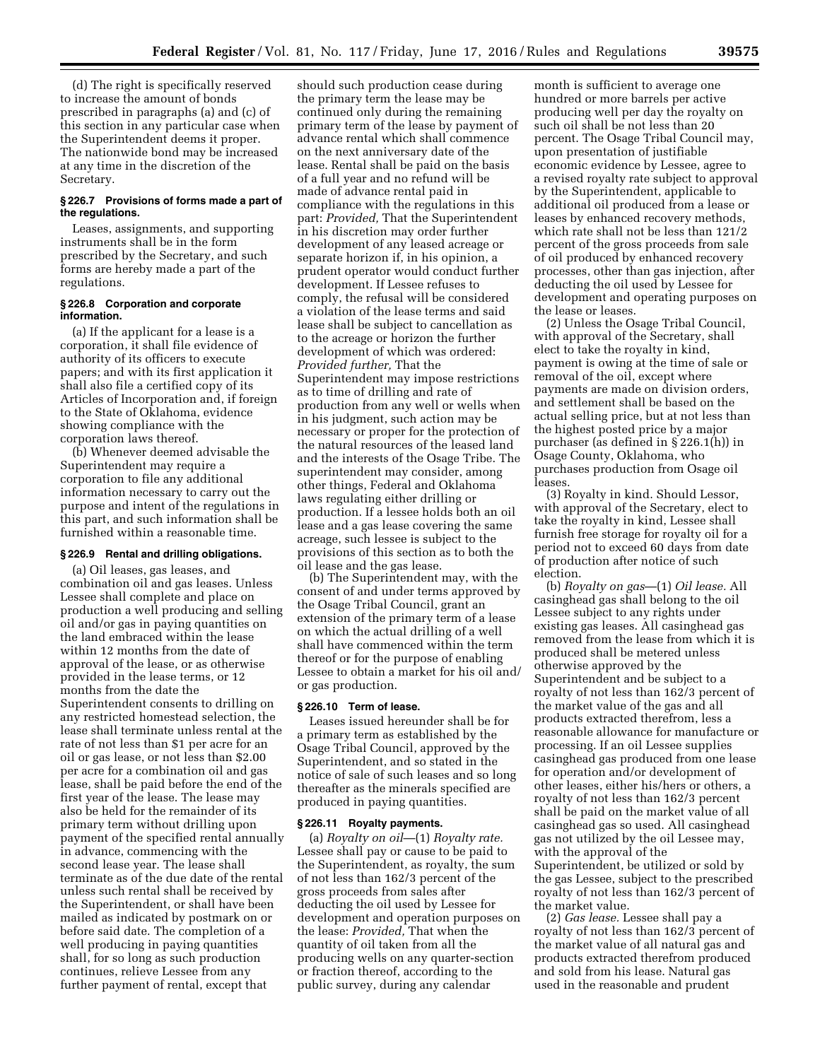(d) The right is specifically reserved to increase the amount of bonds prescribed in paragraphs (a) and (c) of this section in any particular case when the Superintendent deems it proper. The nationwide bond may be increased at any time in the discretion of the Secretary.

## **§ 226.7 Provisions of forms made a part of the regulations.**

Leases, assignments, and supporting instruments shall be in the form prescribed by the Secretary, and such forms are hereby made a part of the regulations.

#### **§ 226.8 Corporation and corporate information.**

(a) If the applicant for a lease is a corporation, it shall file evidence of authority of its officers to execute papers; and with its first application it shall also file a certified copy of its Articles of Incorporation and, if foreign to the State of Oklahoma, evidence showing compliance with the corporation laws thereof.

(b) Whenever deemed advisable the Superintendent may require a corporation to file any additional information necessary to carry out the purpose and intent of the regulations in this part, and such information shall be furnished within a reasonable time.

# **§ 226.9 Rental and drilling obligations.**

(a) Oil leases, gas leases, and combination oil and gas leases. Unless Lessee shall complete and place on production a well producing and selling oil and/or gas in paying quantities on the land embraced within the lease within 12 months from the date of approval of the lease, or as otherwise provided in the lease terms, or 12 months from the date the Superintendent consents to drilling on any restricted homestead selection, the lease shall terminate unless rental at the rate of not less than \$1 per acre for an oil or gas lease, or not less than \$2.00 per acre for a combination oil and gas lease, shall be paid before the end of the first year of the lease. The lease may also be held for the remainder of its primary term without drilling upon payment of the specified rental annually in advance, commencing with the second lease year. The lease shall terminate as of the due date of the rental unless such rental shall be received by the Superintendent, or shall have been mailed as indicated by postmark on or before said date. The completion of a well producing in paying quantities shall, for so long as such production continues, relieve Lessee from any further payment of rental, except that

should such production cease during the primary term the lease may be continued only during the remaining primary term of the lease by payment of advance rental which shall commence on the next anniversary date of the lease. Rental shall be paid on the basis of a full year and no refund will be made of advance rental paid in compliance with the regulations in this part: *Provided,* That the Superintendent in his discretion may order further development of any leased acreage or separate horizon if, in his opinion, a prudent operator would conduct further development. If Lessee refuses to comply, the refusal will be considered a violation of the lease terms and said lease shall be subject to cancellation as to the acreage or horizon the further development of which was ordered: *Provided further,* That the Superintendent may impose restrictions as to time of drilling and rate of production from any well or wells when in his judgment, such action may be necessary or proper for the protection of the natural resources of the leased land and the interests of the Osage Tribe. The superintendent may consider, among other things, Federal and Oklahoma laws regulating either drilling or production. If a lessee holds both an oil lease and a gas lease covering the same acreage, such lessee is subject to the provisions of this section as to both the oil lease and the gas lease.

(b) The Superintendent may, with the consent of and under terms approved by the Osage Tribal Council, grant an extension of the primary term of a lease on which the actual drilling of a well shall have commenced within the term thereof or for the purpose of enabling Lessee to obtain a market for his oil and/ or gas production.

#### **§ 226.10 Term of lease.**

Leases issued hereunder shall be for a primary term as established by the Osage Tribal Council, approved by the Superintendent, and so stated in the notice of sale of such leases and so long thereafter as the minerals specified are produced in paying quantities.

#### **§ 226.11 Royalty payments.**

(a) *Royalty on oil*—(1) *Royalty rate.*  Lessee shall pay or cause to be paid to the Superintendent, as royalty, the sum of not less than 162/3 percent of the gross proceeds from sales after deducting the oil used by Lessee for development and operation purposes on the lease: *Provided,* That when the quantity of oil taken from all the producing wells on any quarter-section or fraction thereof, according to the public survey, during any calendar

month is sufficient to average one hundred or more barrels per active producing well per day the royalty on such oil shall be not less than 20 percent. The Osage Tribal Council may, upon presentation of justifiable economic evidence by Lessee, agree to a revised royalty rate subject to approval by the Superintendent, applicable to additional oil produced from a lease or leases by enhanced recovery methods, which rate shall not be less than 121/2 percent of the gross proceeds from sale of oil produced by enhanced recovery processes, other than gas injection, after deducting the oil used by Lessee for development and operating purposes on the lease or leases.

(2) Unless the Osage Tribal Council, with approval of the Secretary, shall elect to take the royalty in kind, payment is owing at the time of sale or removal of the oil, except where payments are made on division orders, and settlement shall be based on the actual selling price, but at not less than the highest posted price by a major purchaser (as defined in § 226.1(h)) in Osage County, Oklahoma, who purchases production from Osage oil leases.

(3) Royalty in kind. Should Lessor, with approval of the Secretary, elect to take the royalty in kind, Lessee shall furnish free storage for royalty oil for a period not to exceed 60 days from date of production after notice of such election.

(b) *Royalty on gas*—(1) *Oil lease.* All casinghead gas shall belong to the oil Lessee subject to any rights under existing gas leases. All casinghead gas removed from the lease from which it is produced shall be metered unless otherwise approved by the Superintendent and be subject to a royalty of not less than 162/3 percent of the market value of the gas and all products extracted therefrom, less a reasonable allowance for manufacture or processing. If an oil Lessee supplies casinghead gas produced from one lease for operation and/or development of other leases, either his/hers or others, a royalty of not less than 162/3 percent shall be paid on the market value of all casinghead gas so used. All casinghead gas not utilized by the oil Lessee may, with the approval of the Superintendent, be utilized or sold by the gas Lessee, subject to the prescribed royalty of not less than 162/3 percent of the market value.

(2) *Gas lease.* Lessee shall pay a royalty of not less than 162/3 percent of the market value of all natural gas and products extracted therefrom produced and sold from his lease. Natural gas used in the reasonable and prudent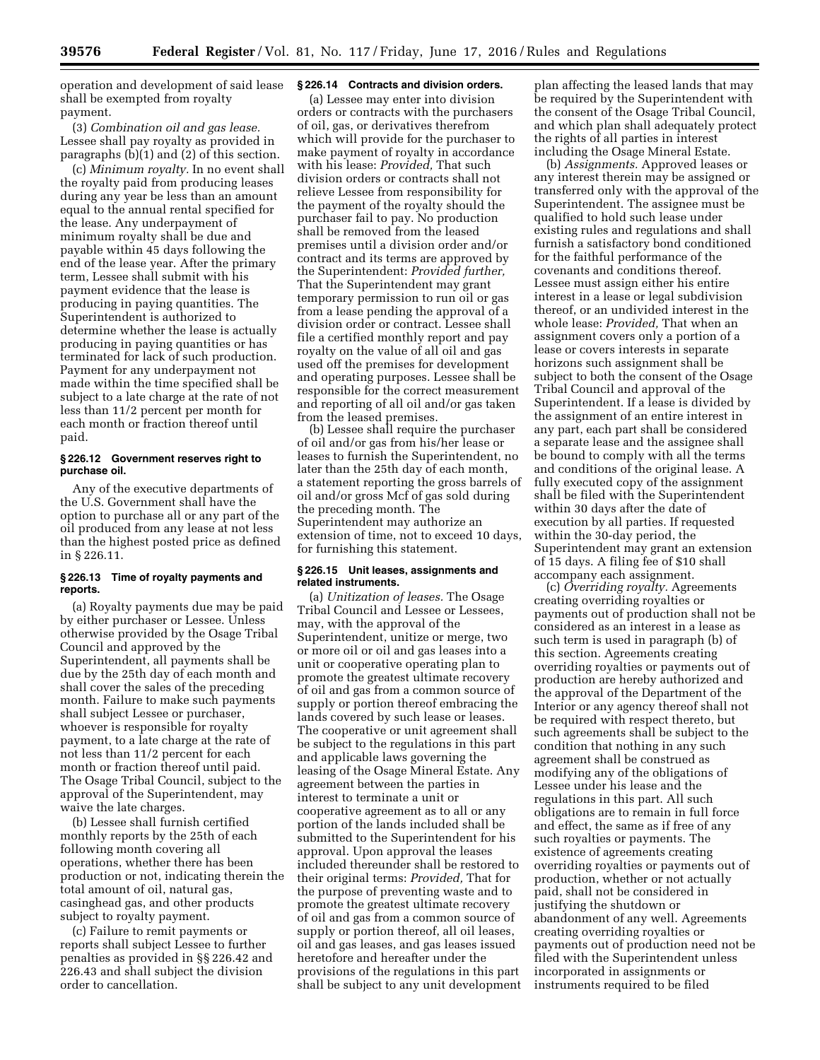operation and development of said lease shall be exempted from royalty payment.

(3) *Combination oil and gas lease.*  Lessee shall pay royalty as provided in paragraphs (b)(1) and (2) of this section.

(c) *Minimum royalty.* In no event shall the royalty paid from producing leases during any year be less than an amount equal to the annual rental specified for the lease. Any underpayment of minimum royalty shall be due and payable within 45 days following the end of the lease year. After the primary term, Lessee shall submit with his payment evidence that the lease is producing in paying quantities. The Superintendent is authorized to determine whether the lease is actually producing in paying quantities or has terminated for lack of such production. Payment for any underpayment not made within the time specified shall be subject to a late charge at the rate of not less than 11/2 percent per month for each month or fraction thereof until paid.

#### **§ 226.12 Government reserves right to purchase oil.**

Any of the executive departments of the U.S. Government shall have the option to purchase all or any part of the oil produced from any lease at not less than the highest posted price as defined in § 226.11.

#### **§ 226.13 Time of royalty payments and reports.**

(a) Royalty payments due may be paid by either purchaser or Lessee. Unless otherwise provided by the Osage Tribal Council and approved by the Superintendent, all payments shall be due by the 25th day of each month and shall cover the sales of the preceding month. Failure to make such payments shall subject Lessee or purchaser, whoever is responsible for royalty payment, to a late charge at the rate of not less than 11/2 percent for each month or fraction thereof until paid. The Osage Tribal Council, subject to the approval of the Superintendent, may waive the late charges.

(b) Lessee shall furnish certified monthly reports by the 25th of each following month covering all operations, whether there has been production or not, indicating therein the total amount of oil, natural gas, casinghead gas, and other products subject to royalty payment.

(c) Failure to remit payments or reports shall subject Lessee to further penalties as provided in §§ 226.42 and 226.43 and shall subject the division order to cancellation.

#### **§ 226.14 Contracts and division orders.**

(a) Lessee may enter into division orders or contracts with the purchasers of oil, gas, or derivatives therefrom which will provide for the purchaser to make payment of royalty in accordance with his lease: *Provided,* That such division orders or contracts shall not relieve Lessee from responsibility for the payment of the royalty should the purchaser fail to pay. No production shall be removed from the leased premises until a division order and/or contract and its terms are approved by the Superintendent: *Provided further,*  That the Superintendent may grant temporary permission to run oil or gas from a lease pending the approval of a division order or contract. Lessee shall file a certified monthly report and pay royalty on the value of all oil and gas used off the premises for development and operating purposes. Lessee shall be responsible for the correct measurement and reporting of all oil and/or gas taken from the leased premises.

(b) Lessee shall require the purchaser of oil and/or gas from his/her lease or leases to furnish the Superintendent, no later than the 25th day of each month, a statement reporting the gross barrels of oil and/or gross Mcf of gas sold during the preceding month. The Superintendent may authorize an extension of time, not to exceed 10 days, for furnishing this statement.

# **§ 226.15 Unit leases, assignments and related instruments.**

(a) *Unitization of leases.* The Osage Tribal Council and Lessee or Lessees, may, with the approval of the Superintendent, unitize or merge, two or more oil or oil and gas leases into a unit or cooperative operating plan to promote the greatest ultimate recovery of oil and gas from a common source of supply or portion thereof embracing the lands covered by such lease or leases. The cooperative or unit agreement shall be subject to the regulations in this part and applicable laws governing the leasing of the Osage Mineral Estate. Any agreement between the parties in interest to terminate a unit or cooperative agreement as to all or any portion of the lands included shall be submitted to the Superintendent for his approval. Upon approval the leases included thereunder shall be restored to their original terms: *Provided,* That for the purpose of preventing waste and to promote the greatest ultimate recovery of oil and gas from a common source of supply or portion thereof, all oil leases, oil and gas leases, and gas leases issued heretofore and hereafter under the provisions of the regulations in this part shall be subject to any unit development plan affecting the leased lands that may be required by the Superintendent with the consent of the Osage Tribal Council, and which plan shall adequately protect the rights of all parties in interest including the Osage Mineral Estate.

(b) *Assignments.* Approved leases or any interest therein may be assigned or transferred only with the approval of the Superintendent. The assignee must be qualified to hold such lease under existing rules and regulations and shall furnish a satisfactory bond conditioned for the faithful performance of the covenants and conditions thereof. Lessee must assign either his entire interest in a lease or legal subdivision thereof, or an undivided interest in the whole lease: *Provided,* That when an assignment covers only a portion of a lease or covers interests in separate horizons such assignment shall be subject to both the consent of the Osage Tribal Council and approval of the Superintendent. If a lease is divided by the assignment of an entire interest in any part, each part shall be considered a separate lease and the assignee shall be bound to comply with all the terms and conditions of the original lease. A fully executed copy of the assignment shall be filed with the Superintendent within 30 days after the date of execution by all parties. If requested within the 30-day period, the Superintendent may grant an extension of 15 days. A filing fee of \$10 shall accompany each assignment.

(c) *Overriding royalty.* Agreements creating overriding royalties or payments out of production shall not be considered as an interest in a lease as such term is used in paragraph (b) of this section. Agreements creating overriding royalties or payments out of production are hereby authorized and the approval of the Department of the Interior or any agency thereof shall not be required with respect thereto, but such agreements shall be subject to the condition that nothing in any such agreement shall be construed as modifying any of the obligations of Lessee under his lease and the regulations in this part. All such obligations are to remain in full force and effect, the same as if free of any such royalties or payments. The existence of agreements creating overriding royalties or payments out of production, whether or not actually paid, shall not be considered in justifying the shutdown or abandonment of any well. Agreements creating overriding royalties or payments out of production need not be filed with the Superintendent unless incorporated in assignments or instruments required to be filed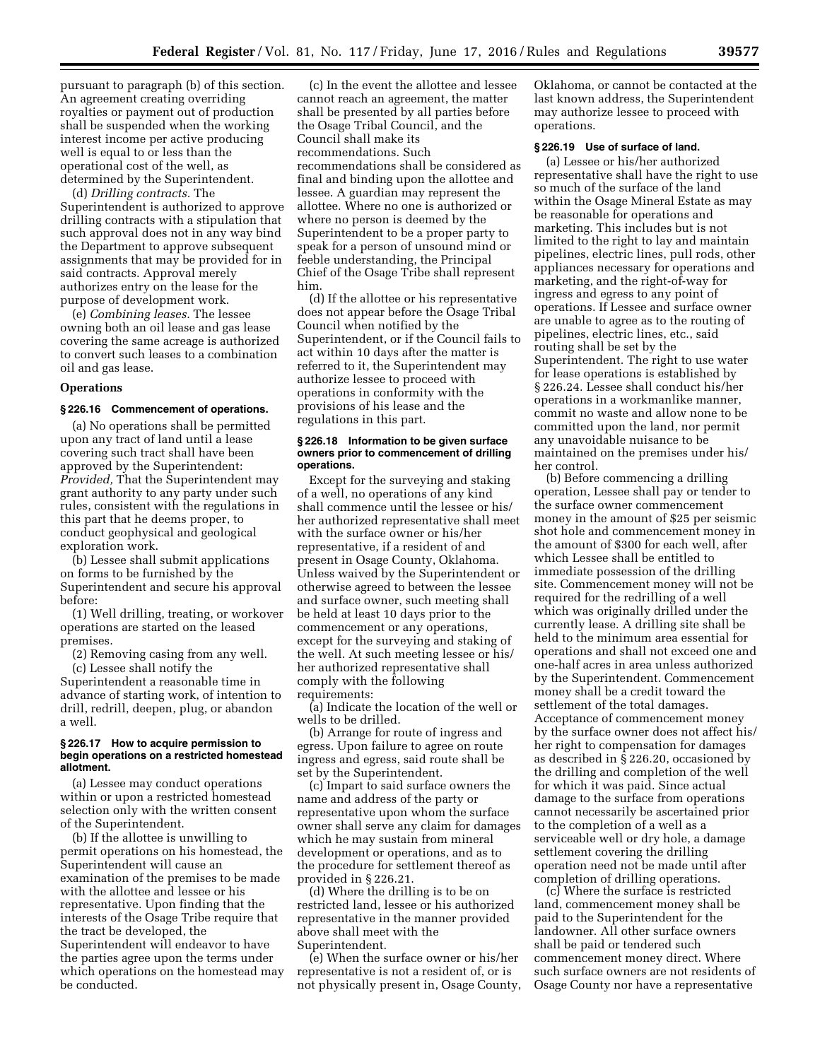pursuant to paragraph (b) of this section. An agreement creating overriding royalties or payment out of production shall be suspended when the working interest income per active producing well is equal to or less than the operational cost of the well, as determined by the Superintendent.

(d) *Drilling contracts.* The Superintendent is authorized to approve drilling contracts with a stipulation that such approval does not in any way bind the Department to approve subsequent assignments that may be provided for in said contracts. Approval merely authorizes entry on the lease for the purpose of development work.

(e) *Combining leases.* The lessee owning both an oil lease and gas lease covering the same acreage is authorized to convert such leases to a combination oil and gas lease.

## **Operations**

# **§ 226.16 Commencement of operations.**

(a) No operations shall be permitted upon any tract of land until a lease covering such tract shall have been approved by the Superintendent: *Provided,* That the Superintendent may grant authority to any party under such rules, consistent with the regulations in this part that he deems proper, to conduct geophysical and geological exploration work.

(b) Lessee shall submit applications on forms to be furnished by the Superintendent and secure his approval before:

(1) Well drilling, treating, or workover operations are started on the leased premises.

(2) Removing casing from any well.

(c) Lessee shall notify the Superintendent a reasonable time in advance of starting work, of intention to drill, redrill, deepen, plug, or abandon a well.

#### **§ 226.17 How to acquire permission to begin operations on a restricted homestead allotment.**

(a) Lessee may conduct operations within or upon a restricted homestead selection only with the written consent of the Superintendent.

(b) If the allottee is unwilling to permit operations on his homestead, the Superintendent will cause an examination of the premises to be made with the allottee and lessee or his representative. Upon finding that the interests of the Osage Tribe require that the tract be developed, the Superintendent will endeavor to have the parties agree upon the terms under which operations on the homestead may be conducted.

(c) In the event the allottee and lessee cannot reach an agreement, the matter shall be presented by all parties before the Osage Tribal Council, and the Council shall make its recommendations. Such recommendations shall be considered as final and binding upon the allottee and lessee. A guardian may represent the allottee. Where no one is authorized or where no person is deemed by the Superintendent to be a proper party to speak for a person of unsound mind or feeble understanding, the Principal Chief of the Osage Tribe shall represent him.

(d) If the allottee or his representative does not appear before the Osage Tribal Council when notified by the Superintendent, or if the Council fails to act within 10 days after the matter is referred to it, the Superintendent may authorize lessee to proceed with operations in conformity with the provisions of his lease and the regulations in this part.

#### **§ 226.18 Information to be given surface owners prior to commencement of drilling operations.**

Except for the surveying and staking of a well, no operations of any kind shall commence until the lessee or his/ her authorized representative shall meet with the surface owner or his/her representative, if a resident of and present in Osage County, Oklahoma. Unless waived by the Superintendent or otherwise agreed to between the lessee and surface owner, such meeting shall be held at least 10 days prior to the commencement or any operations, except for the surveying and staking of the well. At such meeting lessee or his/ her authorized representative shall comply with the following requirements:

(a) Indicate the location of the well or wells to be drilled.

(b) Arrange for route of ingress and egress. Upon failure to agree on route ingress and egress, said route shall be set by the Superintendent.

(c) Impart to said surface owners the name and address of the party or representative upon whom the surface owner shall serve any claim for damages which he may sustain from mineral development or operations, and as to the procedure for settlement thereof as provided in § 226.21.

(d) Where the drilling is to be on restricted land, lessee or his authorized representative in the manner provided above shall meet with the Superintendent.

(e) When the surface owner or his/her representative is not a resident of, or is not physically present in, Osage County, Oklahoma, or cannot be contacted at the last known address, the Superintendent may authorize lessee to proceed with operations.

#### **§ 226.19 Use of surface of land.**

(a) Lessee or his/her authorized representative shall have the right to use so much of the surface of the land within the Osage Mineral Estate as may be reasonable for operations and marketing. This includes but is not limited to the right to lay and maintain pipelines, electric lines, pull rods, other appliances necessary for operations and marketing, and the right-of-way for ingress and egress to any point of operations. If Lessee and surface owner are unable to agree as to the routing of pipelines, electric lines, etc., said routing shall be set by the Superintendent. The right to use water for lease operations is established by § 226.24. Lessee shall conduct his/her operations in a workmanlike manner, commit no waste and allow none to be committed upon the land, nor permit any unavoidable nuisance to be maintained on the premises under his/ her control.

(b) Before commencing a drilling operation, Lessee shall pay or tender to the surface owner commencement money in the amount of \$25 per seismic shot hole and commencement money in the amount of \$300 for each well, after which Lessee shall be entitled to immediate possession of the drilling site. Commencement money will not be required for the redrilling of a well which was originally drilled under the currently lease. A drilling site shall be held to the minimum area essential for operations and shall not exceed one and one-half acres in area unless authorized by the Superintendent. Commencement money shall be a credit toward the settlement of the total damages. Acceptance of commencement money by the surface owner does not affect his/ her right to compensation for damages as described in § 226.20, occasioned by the drilling and completion of the well for which it was paid. Since actual damage to the surface from operations cannot necessarily be ascertained prior to the completion of a well as a serviceable well or dry hole, a damage settlement covering the drilling operation need not be made until after completion of drilling operations.

(c) Where the surface is restricted land, commencement money shall be paid to the Superintendent for the landowner. All other surface owners shall be paid or tendered such commencement money direct. Where such surface owners are not residents of Osage County nor have a representative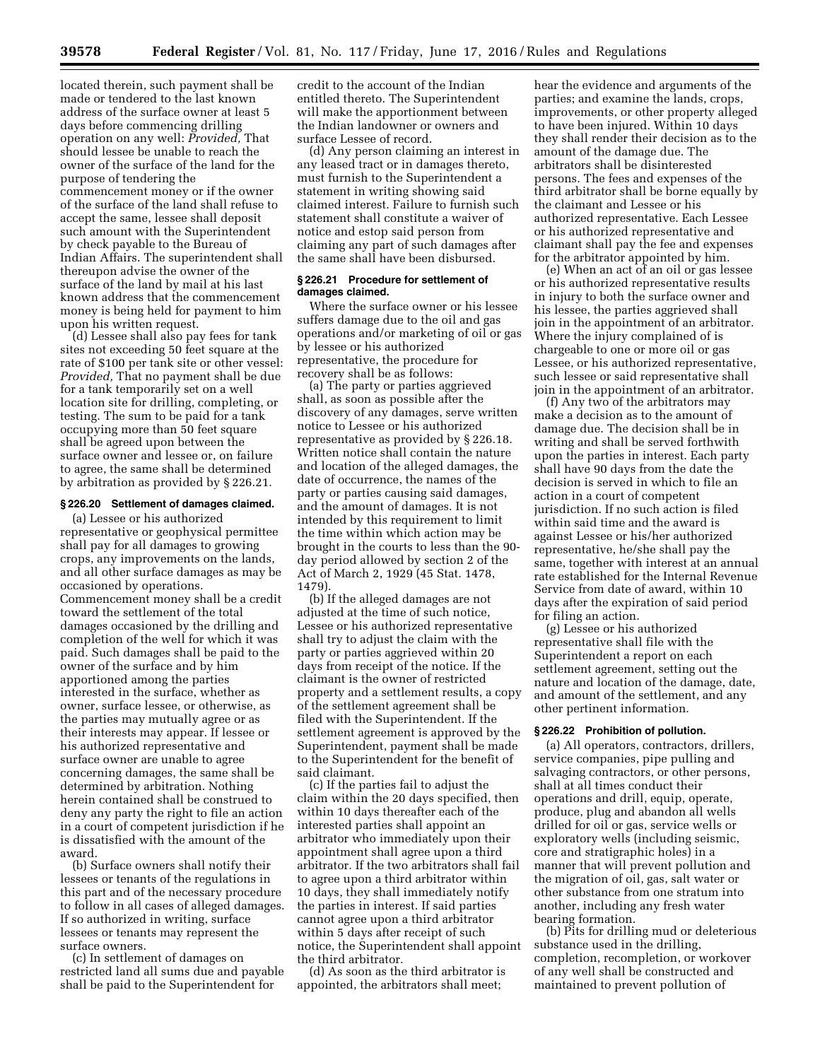located therein, such payment shall be made or tendered to the last known address of the surface owner at least 5 days before commencing drilling operation on any well: *Provided,* That should lessee be unable to reach the owner of the surface of the land for the purpose of tendering the commencement money or if the owner of the surface of the land shall refuse to accept the same, lessee shall deposit such amount with the Superintendent by check payable to the Bureau of Indian Affairs. The superintendent shall thereupon advise the owner of the surface of the land by mail at his last known address that the commencement money is being held for payment to him upon his written request.

(d) Lessee shall also pay fees for tank sites not exceeding 50 feet square at the rate of \$100 per tank site or other vessel: *Provided,* That no payment shall be due for a tank temporarily set on a well location site for drilling, completing, or testing. The sum to be paid for a tank occupying more than 50 feet square shall be agreed upon between the surface owner and lessee or, on failure to agree, the same shall be determined by arbitration as provided by § 226.21.

#### **§ 226.20 Settlement of damages claimed.**

(a) Lessee or his authorized representative or geophysical permittee shall pay for all damages to growing crops, any improvements on the lands, and all other surface damages as may be occasioned by operations. Commencement money shall be a credit toward the settlement of the total damages occasioned by the drilling and completion of the well for which it was paid. Such damages shall be paid to the owner of the surface and by him apportioned among the parties interested in the surface, whether as owner, surface lessee, or otherwise, as the parties may mutually agree or as their interests may appear. If lessee or his authorized representative and surface owner are unable to agree concerning damages, the same shall be determined by arbitration. Nothing herein contained shall be construed to deny any party the right to file an action in a court of competent jurisdiction if he is dissatisfied with the amount of the award.

(b) Surface owners shall notify their lessees or tenants of the regulations in this part and of the necessary procedure to follow in all cases of alleged damages. If so authorized in writing, surface lessees or tenants may represent the surface owners.

(c) In settlement of damages on restricted land all sums due and payable shall be paid to the Superintendent for

credit to the account of the Indian entitled thereto. The Superintendent will make the apportionment between the Indian landowner or owners and surface Lessee of record.

(d) Any person claiming an interest in any leased tract or in damages thereto, must furnish to the Superintendent a statement in writing showing said claimed interest. Failure to furnish such statement shall constitute a waiver of notice and estop said person from claiming any part of such damages after the same shall have been disbursed.

## **§ 226.21 Procedure for settlement of damages claimed.**

Where the surface owner or his lessee suffers damage due to the oil and gas operations and/or marketing of oil or gas by lessee or his authorized representative, the procedure for recovery shall be as follows:

(a) The party or parties aggrieved shall, as soon as possible after the discovery of any damages, serve written notice to Lessee or his authorized representative as provided by § 226.18. Written notice shall contain the nature and location of the alleged damages, the date of occurrence, the names of the party or parties causing said damages, and the amount of damages. It is not intended by this requirement to limit the time within which action may be brought in the courts to less than the 90 day period allowed by section 2 of the Act of March 2, 1929 (45 Stat. 1478, 1479).

(b) If the alleged damages are not adjusted at the time of such notice, Lessee or his authorized representative shall try to adjust the claim with the party or parties aggrieved within 20 days from receipt of the notice. If the claimant is the owner of restricted property and a settlement results, a copy of the settlement agreement shall be filed with the Superintendent. If the settlement agreement is approved by the Superintendent, payment shall be made to the Superintendent for the benefit of said claimant.

(c) If the parties fail to adjust the claim within the 20 days specified, then within 10 days thereafter each of the interested parties shall appoint an arbitrator who immediately upon their appointment shall agree upon a third arbitrator. If the two arbitrators shall fail to agree upon a third arbitrator within 10 days, they shall immediately notify the parties in interest. If said parties cannot agree upon a third arbitrator within 5 days after receipt of such notice, the Superintendent shall appoint the third arbitrator.

(d) As soon as the third arbitrator is appointed, the arbitrators shall meet;

hear the evidence and arguments of the parties; and examine the lands, crops, improvements, or other property alleged to have been injured. Within 10 days they shall render their decision as to the amount of the damage due. The arbitrators shall be disinterested persons. The fees and expenses of the third arbitrator shall be borne equally by the claimant and Lessee or his authorized representative. Each Lessee or his authorized representative and claimant shall pay the fee and expenses for the arbitrator appointed by him.

(e) When an act of an oil or gas lessee or his authorized representative results in injury to both the surface owner and his lessee, the parties aggrieved shall join in the appointment of an arbitrator. Where the injury complained of is chargeable to one or more oil or gas Lessee, or his authorized representative, such lessee or said representative shall join in the appointment of an arbitrator.

(f) Any two of the arbitrators may make a decision as to the amount of damage due. The decision shall be in writing and shall be served forthwith upon the parties in interest. Each party shall have 90 days from the date the decision is served in which to file an action in a court of competent jurisdiction. If no such action is filed within said time and the award is against Lessee or his/her authorized representative, he/she shall pay the same, together with interest at an annual rate established for the Internal Revenue Service from date of award, within 10 days after the expiration of said period for filing an action.

(g) Lessee or his authorized representative shall file with the Superintendent a report on each settlement agreement, setting out the nature and location of the damage, date, and amount of the settlement, and any other pertinent information.

#### **§ 226.22 Prohibition of pollution.**

(a) All operators, contractors, drillers, service companies, pipe pulling and salvaging contractors, or other persons, shall at all times conduct their operations and drill, equip, operate, produce, plug and abandon all wells drilled for oil or gas, service wells or exploratory wells (including seismic, core and stratigraphic holes) in a manner that will prevent pollution and the migration of oil, gas, salt water or other substance from one stratum into another, including any fresh water bearing formation.

(b) Pits for drilling mud or deleterious substance used in the drilling, completion, recompletion, or workover of any well shall be constructed and maintained to prevent pollution of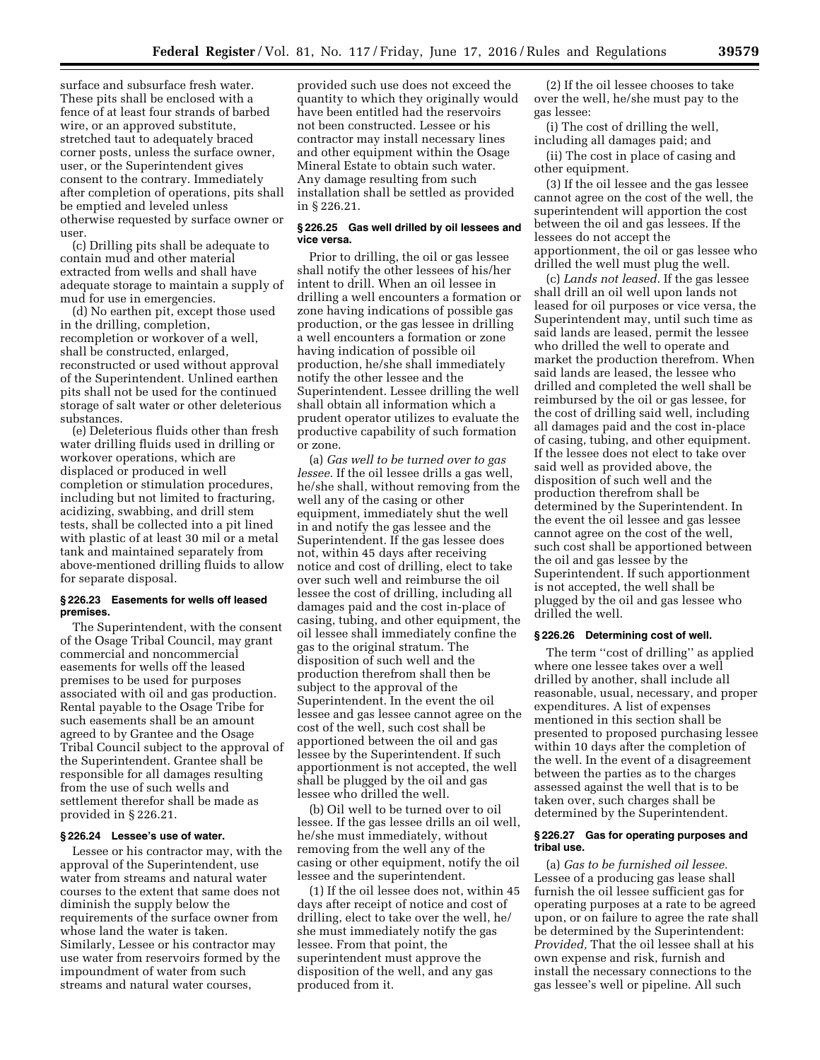surface and subsurface fresh water. These pits shall be enclosed with a fence of at least four strands of barbed wire, or an approved substitute, stretched taut to adequately braced corner posts, unless the surface owner, user, or the Superintendent gives consent to the contrary. Immediately after completion of operations, pits shall be emptied and leveled unless otherwise requested by surface owner or user.

(c) Drilling pits shall be adequate to contain mud and other material extracted from wells and shall have adequate storage to maintain a supply of mud for use in emergencies.

(d) No earthen pit, except those used in the drilling, completion, recompletion or workover of a well, shall be constructed, enlarged, reconstructed or used without approval of the Superintendent. Unlined earthen pits shall not be used for the continued storage of salt water or other deleterious substances.

(e) Deleterious fluids other than fresh water drilling fluids used in drilling or workover operations, which are displaced or produced in well completion or stimulation procedures, including but not limited to fracturing, acidizing, swabbing, and drill stem tests, shall be collected into a pit lined with plastic of at least 30 mil or a metal tank and maintained separately from above-mentioned drilling fluids to allow for separate disposal.

#### **§ 226.23 Easements for wells off leased premises.**

The Superintendent, with the consent of the Osage Tribal Council, may grant commercial and noncommercial easements for wells off the leased premises to be used for purposes associated with oil and gas production. Rental payable to the Osage Tribe for such easements shall be an amount agreed to by Grantee and the Osage Tribal Council subject to the approval of the Superintendent. Grantee shall be responsible for all damages resulting from the use of such wells and settlement therefor shall be made as provided in § 226.21.

## **§ 226.24 Lessee's use of water.**

Lessee or his contractor may, with the approval of the Superintendent, use water from streams and natural water courses to the extent that same does not diminish the supply below the requirements of the surface owner from whose land the water is taken. Similarly, Lessee or his contractor may use water from reservoirs formed by the impoundment of water from such streams and natural water courses,

provided such use does not exceed the quantity to which they originally would have been entitled had the reservoirs not been constructed. Lessee or his contractor may install necessary lines and other equipment within the Osage Mineral Estate to obtain such water. Any damage resulting from such installation shall be settled as provided in § 226.21.

## **§ 226.25 Gas well drilled by oil lessees and vice versa.**

Prior to drilling, the oil or gas lessee shall notify the other lessees of his/her intent to drill. When an oil lessee in drilling a well encounters a formation or zone having indications of possible gas production, or the gas lessee in drilling a well encounters a formation or zone having indication of possible oil production, he/she shall immediately notify the other lessee and the Superintendent. Lessee drilling the well shall obtain all information which a prudent operator utilizes to evaluate the productive capability of such formation or zone.

(a) *Gas well to be turned over to gas lessee.* If the oil lessee drills a gas well, he/she shall, without removing from the well any of the casing or other equipment, immediately shut the well in and notify the gas lessee and the Superintendent. If the gas lessee does not, within 45 days after receiving notice and cost of drilling, elect to take over such well and reimburse the oil lessee the cost of drilling, including all damages paid and the cost in-place of casing, tubing, and other equipment, the oil lessee shall immediately confine the gas to the original stratum. The disposition of such well and the production therefrom shall then be subject to the approval of the Superintendent. In the event the oil lessee and gas lessee cannot agree on the cost of the well, such cost shall be apportioned between the oil and gas lessee by the Superintendent. If such apportionment is not accepted, the well shall be plugged by the oil and gas lessee who drilled the well.

(b) Oil well to be turned over to oil lessee. If the gas lessee drills an oil well, he/she must immediately, without removing from the well any of the casing or other equipment, notify the oil lessee and the superintendent.

(1) If the oil lessee does not, within 45 days after receipt of notice and cost of drilling, elect to take over the well, he/ she must immediately notify the gas lessee. From that point, the superintendent must approve the disposition of the well, and any gas produced from it.

(2) If the oil lessee chooses to take over the well, he/she must pay to the gas lessee:

(i) The cost of drilling the well, including all damages paid; and

(ii) The cost in place of casing and other equipment.

(3) If the oil lessee and the gas lessee cannot agree on the cost of the well, the superintendent will apportion the cost between the oil and gas lessees. If the lessees do not accept the apportionment, the oil or gas lessee who drilled the well must plug the well.

(c) *Lands not leased.* If the gas lessee shall drill an oil well upon lands not leased for oil purposes or vice versa, the Superintendent may, until such time as said lands are leased, permit the lessee who drilled the well to operate and market the production therefrom. When said lands are leased, the lessee who drilled and completed the well shall be reimbursed by the oil or gas lessee, for the cost of drilling said well, including all damages paid and the cost in-place of casing, tubing, and other equipment. If the lessee does not elect to take over said well as provided above, the disposition of such well and the production therefrom shall be determined by the Superintendent. In the event the oil lessee and gas lessee cannot agree on the cost of the well, such cost shall be apportioned between the oil and gas lessee by the Superintendent. If such apportionment is not accepted, the well shall be plugged by the oil and gas lessee who drilled the well.

### **§ 226.26 Determining cost of well.**

The term ''cost of drilling'' as applied where one lessee takes over a well drilled by another, shall include all reasonable, usual, necessary, and proper expenditures. A list of expenses mentioned in this section shall be presented to proposed purchasing lessee within 10 days after the completion of the well. In the event of a disagreement between the parties as to the charges assessed against the well that is to be taken over, such charges shall be determined by the Superintendent.

#### **§ 226.27 Gas for operating purposes and tribal use.**

(a) *Gas to be furnished oil lessee.*  Lessee of a producing gas lease shall furnish the oil lessee sufficient gas for operating purposes at a rate to be agreed upon, or on failure to agree the rate shall be determined by the Superintendent: *Provided,* That the oil lessee shall at his own expense and risk, furnish and install the necessary connections to the gas lessee's well or pipeline. All such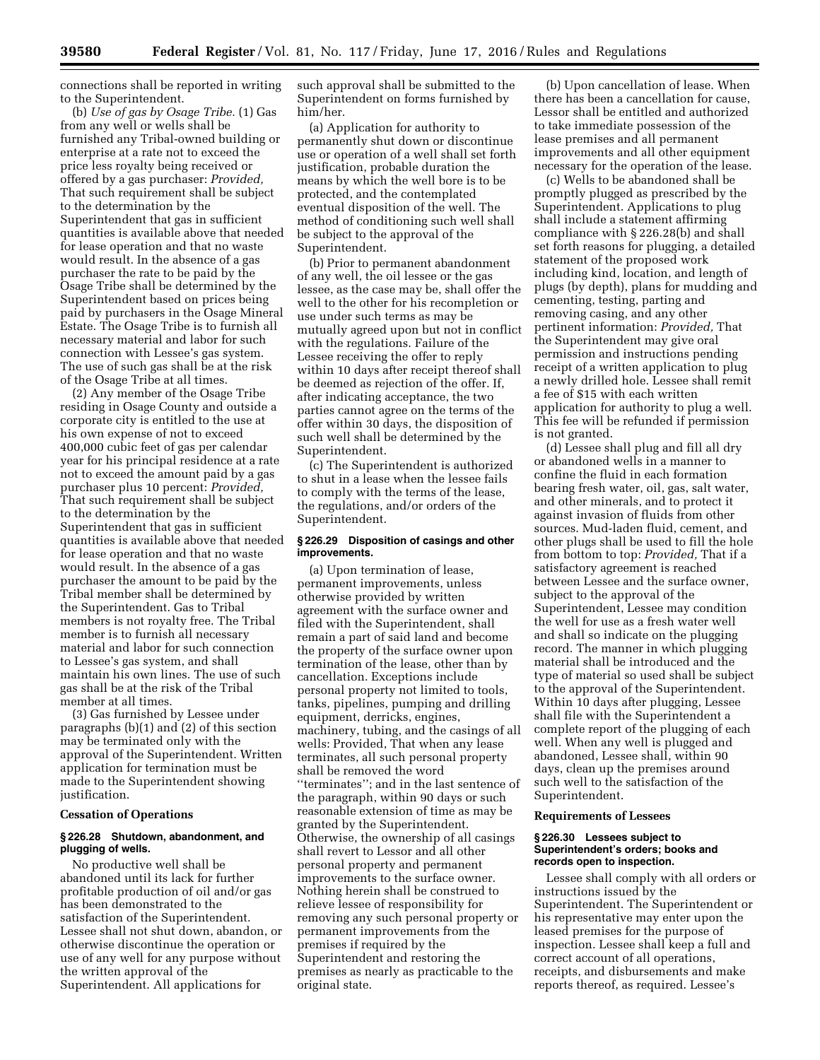connections shall be reported in writing to the Superintendent.

(b) *Use of gas by Osage Tribe.* (1) Gas from any well or wells shall be furnished any Tribal-owned building or enterprise at a rate not to exceed the price less royalty being received or offered by a gas purchaser: *Provided,*  That such requirement shall be subject to the determination by the Superintendent that gas in sufficient quantities is available above that needed for lease operation and that no waste would result. In the absence of a gas purchaser the rate to be paid by the Osage Tribe shall be determined by the Superintendent based on prices being paid by purchasers in the Osage Mineral Estate. The Osage Tribe is to furnish all necessary material and labor for such connection with Lessee's gas system. The use of such gas shall be at the risk of the Osage Tribe at all times.

(2) Any member of the Osage Tribe residing in Osage County and outside a corporate city is entitled to the use at his own expense of not to exceed 400,000 cubic feet of gas per calendar year for his principal residence at a rate not to exceed the amount paid by a gas purchaser plus 10 percent: *Provided,*  That such requirement shall be subject to the determination by the Superintendent that gas in sufficient quantities is available above that needed for lease operation and that no waste would result. In the absence of a gas purchaser the amount to be paid by the Tribal member shall be determined by the Superintendent. Gas to Tribal members is not royalty free. The Tribal member is to furnish all necessary material and labor for such connection to Lessee's gas system, and shall maintain his own lines. The use of such gas shall be at the risk of the Tribal member at all times.

(3) Gas furnished by Lessee under paragraphs (b)(1) and (2) of this section may be terminated only with the approval of the Superintendent. Written application for termination must be made to the Superintendent showing justification.

#### **Cessation of Operations**

# **§ 226.28 Shutdown, abandonment, and plugging of wells.**

No productive well shall be abandoned until its lack for further profitable production of oil and/or gas has been demonstrated to the satisfaction of the Superintendent. Lessee shall not shut down, abandon, or otherwise discontinue the operation or use of any well for any purpose without the written approval of the Superintendent. All applications for

such approval shall be submitted to the Superintendent on forms furnished by him/her.

(a) Application for authority to permanently shut down or discontinue use or operation of a well shall set forth justification, probable duration the means by which the well bore is to be protected, and the contemplated eventual disposition of the well. The method of conditioning such well shall be subject to the approval of the Superintendent.

(b) Prior to permanent abandonment of any well, the oil lessee or the gas lessee, as the case may be, shall offer the well to the other for his recompletion or use under such terms as may be mutually agreed upon but not in conflict with the regulations. Failure of the Lessee receiving the offer to reply within 10 days after receipt thereof shall be deemed as rejection of the offer. If, after indicating acceptance, the two parties cannot agree on the terms of the offer within 30 days, the disposition of such well shall be determined by the Superintendent.

(c) The Superintendent is authorized to shut in a lease when the lessee fails to comply with the terms of the lease, the regulations, and/or orders of the Superintendent.

## **§ 226.29 Disposition of casings and other improvements.**

(a) Upon termination of lease, permanent improvements, unless otherwise provided by written agreement with the surface owner and filed with the Superintendent, shall remain a part of said land and become the property of the surface owner upon termination of the lease, other than by cancellation. Exceptions include personal property not limited to tools, tanks, pipelines, pumping and drilling equipment, derricks, engines, machinery, tubing, and the casings of all wells: Provided, That when any lease terminates, all such personal property shall be removed the word ''terminates''; and in the last sentence of the paragraph, within 90 days or such reasonable extension of time as may be granted by the Superintendent. Otherwise, the ownership of all casings shall revert to Lessor and all other personal property and permanent improvements to the surface owner. Nothing herein shall be construed to relieve lessee of responsibility for removing any such personal property or permanent improvements from the premises if required by the Superintendent and restoring the premises as nearly as practicable to the original state.

(b) Upon cancellation of lease. When there has been a cancellation for cause, Lessor shall be entitled and authorized to take immediate possession of the lease premises and all permanent improvements and all other equipment necessary for the operation of the lease.

(c) Wells to be abandoned shall be promptly plugged as prescribed by the Superintendent. Applications to plug shall include a statement affirming compliance with § 226.28(b) and shall set forth reasons for plugging, a detailed statement of the proposed work including kind, location, and length of plugs (by depth), plans for mudding and cementing, testing, parting and removing casing, and any other pertinent information: *Provided,* That the Superintendent may give oral permission and instructions pending receipt of a written application to plug a newly drilled hole. Lessee shall remit a fee of \$15 with each written application for authority to plug a well. This fee will be refunded if permission is not granted.

(d) Lessee shall plug and fill all dry or abandoned wells in a manner to confine the fluid in each formation bearing fresh water, oil, gas, salt water, and other minerals, and to protect it against invasion of fluids from other sources. Mud-laden fluid, cement, and other plugs shall be used to fill the hole from bottom to top: *Provided,* That if a satisfactory agreement is reached between Lessee and the surface owner, subject to the approval of the Superintendent, Lessee may condition the well for use as a fresh water well and shall so indicate on the plugging record. The manner in which plugging material shall be introduced and the type of material so used shall be subject to the approval of the Superintendent. Within 10 days after plugging, Lessee shall file with the Superintendent a complete report of the plugging of each well. When any well is plugged and abandoned, Lessee shall, within 90 days, clean up the premises around such well to the satisfaction of the Superintendent.

#### **Requirements of Lessees**

#### **§ 226.30 Lessees subject to Superintendent's orders; books and records open to inspection.**

Lessee shall comply with all orders or instructions issued by the Superintendent. The Superintendent or his representative may enter upon the leased premises for the purpose of inspection. Lessee shall keep a full and correct account of all operations, receipts, and disbursements and make reports thereof, as required. Lessee's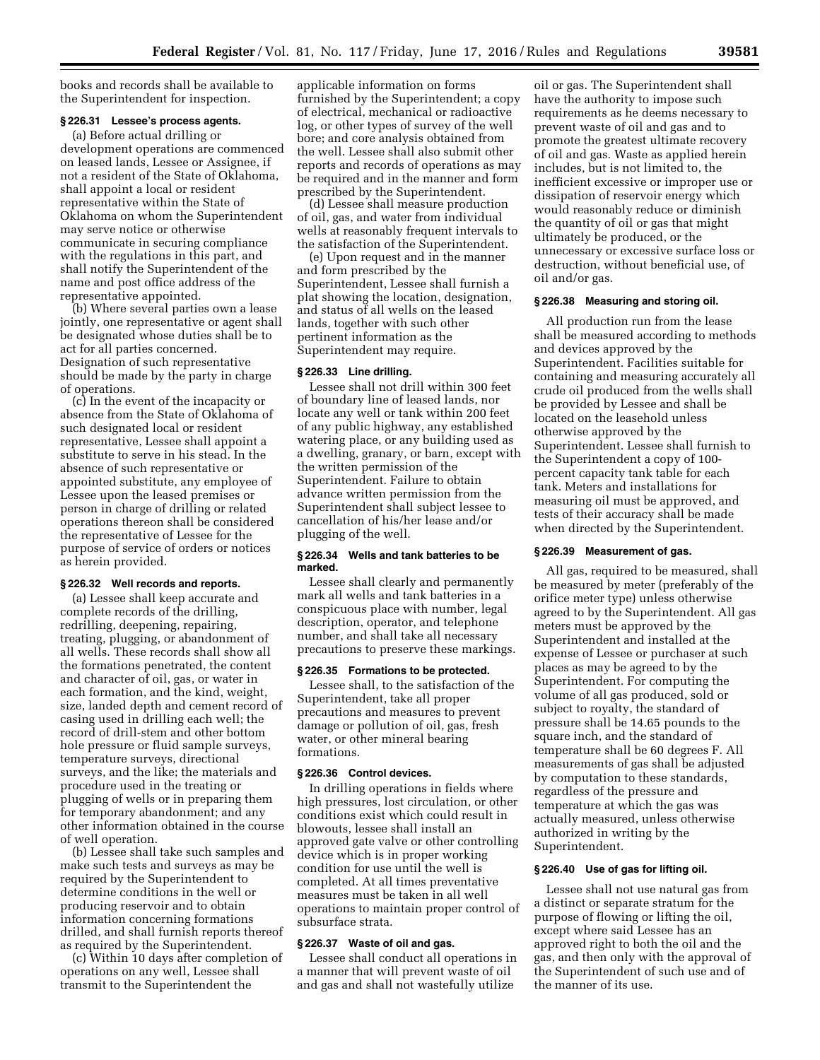books and records shall be available to the Superintendent for inspection.

#### **§ 226.31 Lessee's process agents.**

(a) Before actual drilling or development operations are commenced on leased lands, Lessee or Assignee, if not a resident of the State of Oklahoma, shall appoint a local or resident representative within the State of Oklahoma on whom the Superintendent may serve notice or otherwise communicate in securing compliance with the regulations in this part, and shall notify the Superintendent of the name and post office address of the representative appointed.

(b) Where several parties own a lease jointly, one representative or agent shall be designated whose duties shall be to act for all parties concerned. Designation of such representative should be made by the party in charge of operations.

(c) In the event of the incapacity or absence from the State of Oklahoma of such designated local or resident representative, Lessee shall appoint a substitute to serve in his stead. In the absence of such representative or appointed substitute, any employee of Lessee upon the leased premises or person in charge of drilling or related operations thereon shall be considered the representative of Lessee for the purpose of service of orders or notices as herein provided.

## **§ 226.32 Well records and reports.**

(a) Lessee shall keep accurate and complete records of the drilling, redrilling, deepening, repairing, treating, plugging, or abandonment of all wells. These records shall show all the formations penetrated, the content and character of oil, gas, or water in each formation, and the kind, weight, size, landed depth and cement record of casing used in drilling each well; the record of drill-stem and other bottom hole pressure or fluid sample surveys, temperature surveys, directional surveys, and the like; the materials and procedure used in the treating or plugging of wells or in preparing them for temporary abandonment; and any other information obtained in the course of well operation.

(b) Lessee shall take such samples and make such tests and surveys as may be required by the Superintendent to determine conditions in the well or producing reservoir and to obtain information concerning formations drilled, and shall furnish reports thereof as required by the Superintendent.

(c) Within 10 days after completion of operations on any well, Lessee shall transmit to the Superintendent the

applicable information on forms furnished by the Superintendent; a copy of electrical, mechanical or radioactive log, or other types of survey of the well bore; and core analysis obtained from the well. Lessee shall also submit other reports and records of operations as may be required and in the manner and form prescribed by the Superintendent.

(d) Lessee shall measure production of oil, gas, and water from individual wells at reasonably frequent intervals to the satisfaction of the Superintendent.

(e) Upon request and in the manner and form prescribed by the Superintendent, Lessee shall furnish a plat showing the location, designation, and status of all wells on the leased lands, together with such other pertinent information as the Superintendent may require.

## **§ 226.33 Line drilling.**

Lessee shall not drill within 300 feet of boundary line of leased lands, nor locate any well or tank within 200 feet of any public highway, any established watering place, or any building used as a dwelling, granary, or barn, except with the written permission of the Superintendent. Failure to obtain advance written permission from the Superintendent shall subject lessee to cancellation of his/her lease and/or plugging of the well.

## **§ 226.34 Wells and tank batteries to be marked.**

Lessee shall clearly and permanently mark all wells and tank batteries in a conspicuous place with number, legal description, operator, and telephone number, and shall take all necessary precautions to preserve these markings.

# **§ 226.35 Formations to be protected.**

Lessee shall, to the satisfaction of the Superintendent, take all proper precautions and measures to prevent damage or pollution of oil, gas, fresh water, or other mineral bearing formations.

## **§ 226.36 Control devices.**

In drilling operations in fields where high pressures, lost circulation, or other conditions exist which could result in blowouts, lessee shall install an approved gate valve or other controlling device which is in proper working condition for use until the well is completed. At all times preventative measures must be taken in all well operations to maintain proper control of subsurface strata.

# **§ 226.37 Waste of oil and gas.**

Lessee shall conduct all operations in a manner that will prevent waste of oil and gas and shall not wastefully utilize

oil or gas. The Superintendent shall have the authority to impose such requirements as he deems necessary to prevent waste of oil and gas and to promote the greatest ultimate recovery of oil and gas. Waste as applied herein includes, but is not limited to, the inefficient excessive or improper use or dissipation of reservoir energy which would reasonably reduce or diminish the quantity of oil or gas that might ultimately be produced, or the unnecessary or excessive surface loss or destruction, without beneficial use, of oil and/or gas.

## **§ 226.38 Measuring and storing oil.**

All production run from the lease shall be measured according to methods and devices approved by the Superintendent. Facilities suitable for containing and measuring accurately all crude oil produced from the wells shall be provided by Lessee and shall be located on the leasehold unless otherwise approved by the Superintendent. Lessee shall furnish to the Superintendent a copy of 100 percent capacity tank table for each tank. Meters and installations for measuring oil must be approved, and tests of their accuracy shall be made when directed by the Superintendent.

#### **§ 226.39 Measurement of gas.**

All gas, required to be measured, shall be measured by meter (preferably of the orifice meter type) unless otherwise agreed to by the Superintendent. All gas meters must be approved by the Superintendent and installed at the expense of Lessee or purchaser at such places as may be agreed to by the Superintendent. For computing the volume of all gas produced, sold or subject to royalty, the standard of pressure shall be 14.65 pounds to the square inch, and the standard of temperature shall be 60 degrees F. All measurements of gas shall be adjusted by computation to these standards, regardless of the pressure and temperature at which the gas was actually measured, unless otherwise authorized in writing by the Superintendent.

## **§ 226.40 Use of gas for lifting oil.**

Lessee shall not use natural gas from a distinct or separate stratum for the purpose of flowing or lifting the oil, except where said Lessee has an approved right to both the oil and the gas, and then only with the approval of the Superintendent of such use and of the manner of its use.